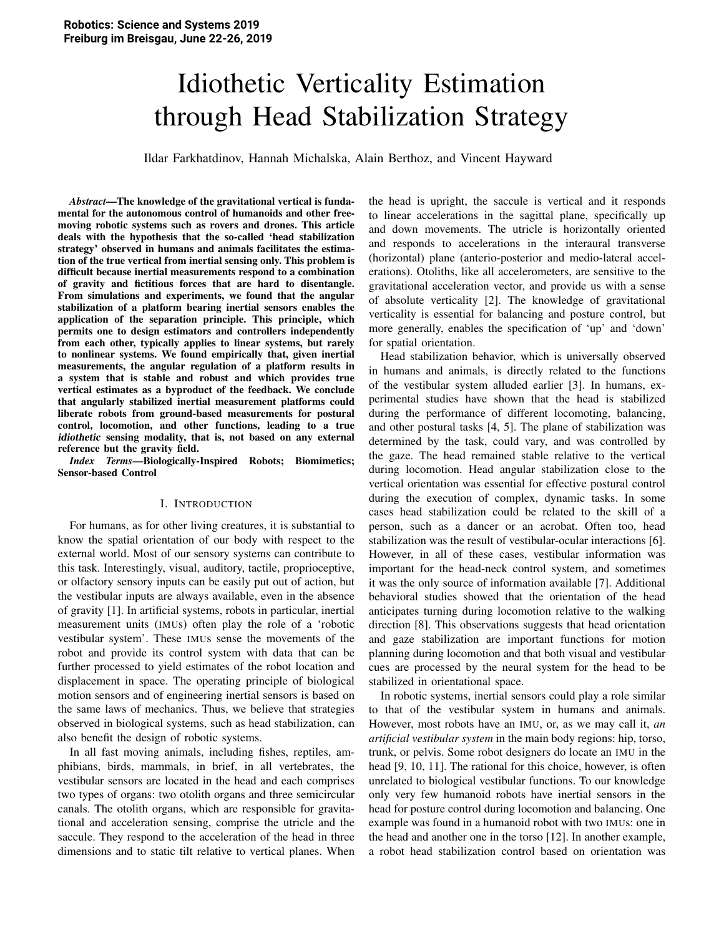# Idiothetic Verticality Estimation through Head Stabilization Strategy

Ildar Farkhatdinov, Hannah Michalska, Alain Berthoz, and Vincent Hayward

*Abstract*—The knowledge of the gravitational vertical is fundamental for the autonomous control of humanoids and other freemoving robotic systems such as rovers and drones. This article deals with the hypothesis that the so-called 'head stabilization strategy' observed in humans and animals facilitates the estimation of the true vertical from inertial sensing only. This problem is difficult because inertial measurements respond to a combination of gravity and fictitious forces that are hard to disentangle. From simulations and experiments, we found that the angular stabilization of a platform bearing inertial sensors enables the application of the separation principle. This principle, which permits one to design estimators and controllers independently from each other, typically applies to linear systems, but rarely to nonlinear systems. We found empirically that, given inertial measurements, the angular regulation of a platform results in a system that is stable and robust and which provides true vertical estimates as a byproduct of the feedback. We conclude that angularly stabilized inertial measurement platforms could liberate robots from ground-based measurements for postural control, locomotion, and other functions, leading to a true idiothetic sensing modality, that is, not based on any external reference but the gravity field.

*Index Terms*—Biologically-Inspired Robots; Biomimetics; Sensor-based Control

### I. INTRODUCTION

For humans, as for other living creatures, it is substantial to know the spatial orientation of our body with respect to the external world. Most of our sensory systems can contribute to this task. Interestingly, visual, auditory, tactile, proprioceptive, or olfactory sensory inputs can be easily put out of action, but the vestibular inputs are always available, even in the absence of gravity [1]. In artificial systems, robots in particular, inertial measurement units (IMUs) often play the role of a 'robotic vestibular system'. These IMUs sense the movements of the robot and provide its control system with data that can be further processed to yield estimates of the robot location and displacement in space. The operating principle of biological motion sensors and of engineering inertial sensors is based on the same laws of mechanics. Thus, we believe that strategies observed in biological systems, such as head stabilization, can also benefit the design of robotic systems.

In all fast moving animals, including fishes, reptiles, amphibians, birds, mammals, in brief, in all vertebrates, the vestibular sensors are located in the head and each comprises two types of organs: two otolith organs and three semicircular canals. The otolith organs, which are responsible for gravitational and acceleration sensing, comprise the utricle and the saccule. They respond to the acceleration of the head in three dimensions and to static tilt relative to vertical planes. When the head is upright, the saccule is vertical and it responds to linear accelerations in the sagittal plane, specifically up and down movements. The utricle is horizontally oriented and responds to accelerations in the interaural transverse (horizontal) plane (anterio-posterior and medio-lateral accelerations). Otoliths, like all accelerometers, are sensitive to the gravitational acceleration vector, and provide us with a sense of absolute verticality [2]. The knowledge of gravitational verticality is essential for balancing and posture control, but more generally, enables the specification of 'up' and 'down' for spatial orientation.

Head stabilization behavior, which is universally observed in humans and animals, is directly related to the functions of the vestibular system alluded earlier [3]. In humans, experimental studies have shown that the head is stabilized during the performance of different locomoting, balancing, and other postural tasks [4, 5]. The plane of stabilization was determined by the task, could vary, and was controlled by the gaze. The head remained stable relative to the vertical during locomotion. Head angular stabilization close to the vertical orientation was essential for effective postural control during the execution of complex, dynamic tasks. In some cases head stabilization could be related to the skill of a person, such as a dancer or an acrobat. Often too, head stabilization was the result of vestibular-ocular interactions [6]. However, in all of these cases, vestibular information was important for the head-neck control system, and sometimes it was the only source of information available [7]. Additional behavioral studies showed that the orientation of the head anticipates turning during locomotion relative to the walking direction [8]. This observations suggests that head orientation and gaze stabilization are important functions for motion planning during locomotion and that both visual and vestibular cues are processed by the neural system for the head to be stabilized in orientational space.

In robotic systems, inertial sensors could play a role similar to that of the vestibular system in humans and animals. However, most robots have an IMU, or, as we may call it, *an artificial vestibular system* in the main body regions: hip, torso, trunk, or pelvis. Some robot designers do locate an IMU in the head [9, 10, 11]. The rational for this choice, however, is often unrelated to biological vestibular functions. To our knowledge only very few humanoid robots have inertial sensors in the head for posture control during locomotion and balancing. One example was found in a humanoid robot with two IMUs: one in the head and another one in the torso [12]. In another example, a robot head stabilization control based on orientation was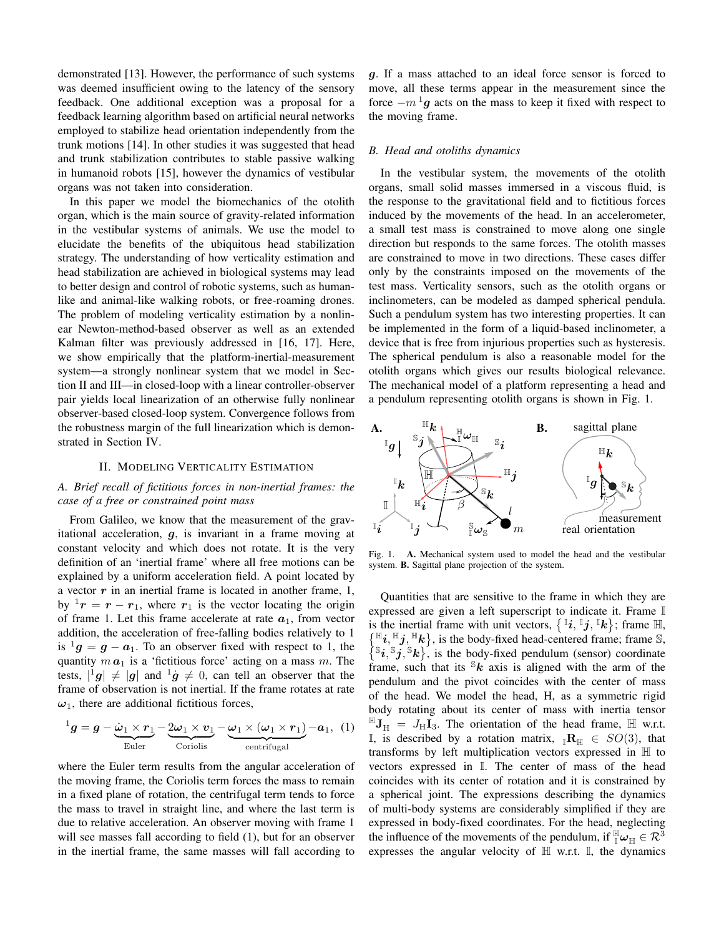demonstrated [13]. However, the performance of such systems was deemed insufficient owing to the latency of the sensory feedback. One additional exception was a proposal for a feedback learning algorithm based on artificial neural networks employed to stabilize head orientation independently from the trunk motions [14]. In other studies it was suggested that head and trunk stabilization contributes to stable passive walking in humanoid robots [15], however the dynamics of vestibular organs was not taken into consideration.

In this paper we model the biomechanics of the otolith organ, which is the main source of gravity-related information in the vestibular systems of animals. We use the model to elucidate the benefits of the ubiquitous head stabilization strategy. The understanding of how verticality estimation and head stabilization are achieved in biological systems may lead to better design and control of robotic systems, such as humanlike and animal-like walking robots, or free-roaming drones. The problem of modeling verticality estimation by a nonlinear Newton-method-based observer as well as an extended Kalman filter was previously addressed in [16, 17]. Here, we show empirically that the platform-inertial-measurement system—a strongly nonlinear system that we model in Section II and III—in closed-loop with a linear controller-observer pair yields local linearization of an otherwise fully nonlinear observer-based closed-loop system. Convergence follows from the robustness margin of the full linearization which is demonstrated in Section IV.

#### **II. MODELING VERTICALITY ESTIMATION**

# A. Brief recall of fictitious forces in non-inertial frames: the case of a free or constrained point mass

From Galileo, we know that the measurement of the gravitational acceleration,  $q$ , is invariant in a frame moving at constant velocity and which does not rotate. It is the very definition of an 'inertial frame' where all free motions can be explained by a uniform acceleration field. A point located by a vector  $r$  in an inertial frame is located in another frame, 1, by  $r^1r = r - r_1$ , where  $r_1$  is the vector locating the origin of frame 1. Let this frame accelerate at rate  $a_1$ , from vector addition, the acceleration of free-falling bodies relatively to 1 is  ${}^{1}g = g - a_1$ . To an observer fixed with respect to 1, the quantity  $m a_1$  is a 'fictitious force' acting on a mass m. The tests,  $|{}^1g| \neq |g|$  and  ${}^1\dot{g} \neq 0$ , can tell an observer that the frame of observation is not inertial. If the frame rotates at rate  $\omega_1$ , there are additional fictitious forces,

$$
{}^{1}g = g - \underbrace{\dot{\omega}_{1} \times r_{1}}_{\text{Euler}} - \underbrace{2\omega_{1} \times v_{1}}_{\text{Coriolis}} - \underbrace{\omega_{1} \times (\omega_{1} \times r_{1})}_{\text{centrifugal}} - a_{1}, \quad (1)
$$

where the Euler term results from the angular acceleration of the moving frame, the Coriolis term forces the mass to remain in a fixed plane of rotation, the centrifugal term tends to force the mass to travel in straight line, and where the last term is due to relative acceleration. An observer moving with frame 1 will see masses fall according to field  $(1)$ , but for an observer in the inertial frame, the same masses will fall according to q. If a mass attached to an ideal force sensor is forced to move, all these terms appear in the measurement since the force  $-m<sup>1</sup>g$  acts on the mass to keep it fixed with respect to the moving frame.

#### B. Head and otoliths dynamics

In the vestibular system, the movements of the otolith organs, small solid masses immersed in a viscous fluid, is the response to the gravitational field and to fictitious forces induced by the movements of the head. In an accelerometer, a small test mass is constrained to move along one single direction but responds to the same forces. The otolith masses are constrained to move in two directions. These cases differ only by the constraints imposed on the movements of the test mass. Verticality sensors, such as the otolith organs or inclinometers, can be modeled as damped spherical pendula. Such a pendulum system has two interesting properties. It can be implemented in the form of a liquid-based inclinometer, a device that is free from injurious properties such as hysteresis. The spherical pendulum is also a reasonable model for the otolith organs which gives our results biological relevance. The mechanical model of a platform representing a head and a pendulum representing otolith organs is shown in Fig. 1.



Fig. 1. A. Mechanical system used to model the head and the vestibular system. B. Sagittal plane projection of the system.

Quantities that are sensitive to the frame in which they are expressed are given a left superscript to indicate it. Frame II is the inertial frame with unit vectors,  $\{ \mathbb{I}i, \mathbb{I}j, \mathbb{I}k \}$ ; frame  $\mathbb{H}$ ,  $\{ \mathbb{H}_{i}, \mathbb{H}_{j}, \mathbb{H}_{k} \}$ , is the body-fixed head-centered frame; frame S,  $\{ \mathbb{S}_{i}, \mathbb{S}_{j}, \mathbb{S}_{k} \}$ , is the body-fixed pendulum (sensor) coordinate frame, such that its  $\mathscr{S}_k$  axis is aligned with the arm of the pendulum and the pivot coincides with the center of mass of the head. We model the head, H, as a symmetric rigid body rotating about its center of mass with inertia tensor  ${}^{\mathbb{H}}J_{H} = J_{H}I_{3}$ . The orientation of the head frame,  ${}^{\mathbb{H}}$  w.r.t. I, is described by a rotation matrix,  $_{\mathbb{R}}\mathbf{R}_{\mathbb{H}} \in SO(3)$ , that transforms by left multiplication vectors expressed in H to vectors expressed in I. The center of mass of the head coincides with its center of rotation and it is constrained by a spherical joint. The expressions describing the dynamics of multi-body systems are considerably simplified if they are expressed in body-fixed coordinates. For the head, neglecting the influence of the movements of the pendulum, if  $\mathbb{H}_{\mathbb{Z}} \omega_{\mathbb{H}} \in \mathcal{R}^3$ expresses the angular velocity of  $\mathbb H$  w.r.t.  $\mathbb I$ , the dynamics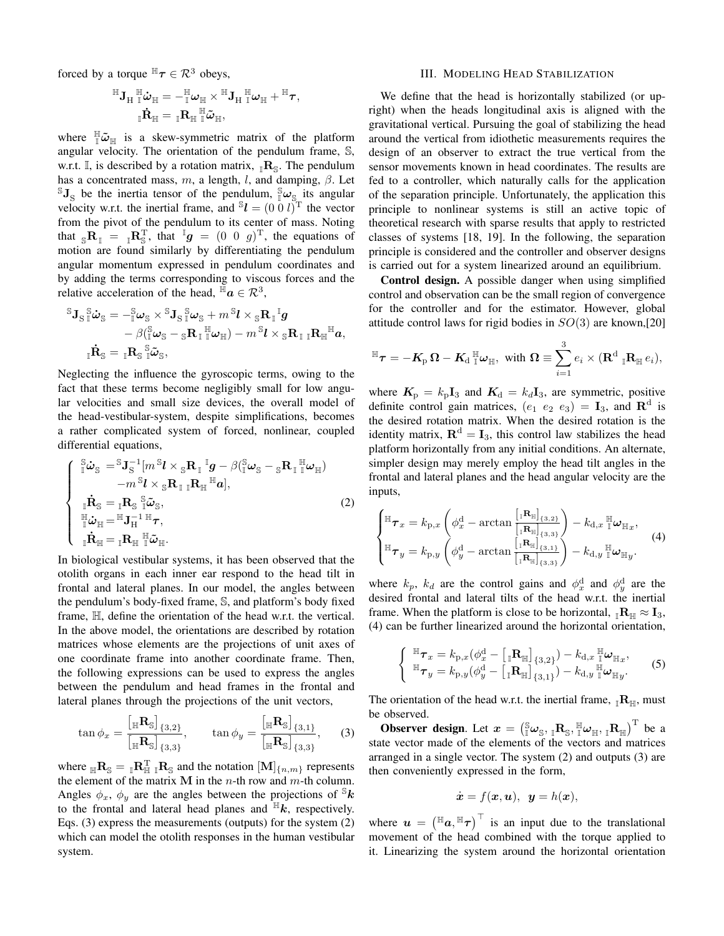forced by a torque  ${}^{\mathbb{H}}\tau \in \mathcal{R}^3$  obeys,

$$
\begin{aligned} {}^{\mathbb{H}}\mathbf{J}_{\mathrm{H}} \, {}^{\mathbb{H}} \boldsymbol{\dot{\omega}}_{\mathbb{H}} &= - {}^{\mathbb{H}}_{\mathbb{I}} \boldsymbol{\omega}_{\mathbb{H}} \times {}^{\mathbb{H}} \mathbf{J}_{\mathrm{H}} \, {}^{\mathbb{H}}_{\mathbb{I}} \boldsymbol{\omega}_{\mathbb{H}} + {}^{\mathbb{H}} \boldsymbol{\tau} \\ {}_{\mathbb{I}} \dot{\mathbf{R}}_{\mathbb{H}} &= {}_{\mathbb{I}} \mathbf{R}_{\mathbb{H}} \, {}^{\mathbb{H}}_{\mathbb{I}} \boldsymbol{\dot{\omega}}_{\mathbb{H}}, \end{aligned}
$$

where  $\mathbb{H} \tilde{\omega}_{\mathbb{H}}$  is a skew-symmetric matrix of the platform angular velocity. The orientation of the pendulum frame, S, w.r.t. I, is described by a rotation matrix,  $_{\mathbb{T}}\mathbf{R}_{\mathbb{S}}$ . The pendulum has a concentrated mass,  $m$ , a length,  $l$ , and damping,  $\beta$ . Let  ${}^{\mathbb{S}}\mathbf{J}_{\mathcal{S}}$  be the inertia tensor of the pendulum,  ${}^{\mathbb{S}}_{\mathbb{I}}\boldsymbol{\omega}_{\mathcal{S}}$  its angular velocity w.r.t. the inertial frame, and  ${}^{\mathbb{S}}l = (0 \ 0 \ l)^{\mathrm{T}}$  the vector from the pivot of the pendulum to its center of mass. Noting that  $_{\mathbb{S}}\mathbf{R}_{\mathbb{I}} = \mathbb{I} \mathbf{R}_{\mathbb{S}}^{\mathrm{T}}$ , that  $\mathbb{I}g = (0 \ 0 \ g)^{\mathrm{T}}$ , the equations of motion are found similarly by differentiating the pendulum angular momentum expressed in pendulum coordinates and by adding the terms corresponding to viscous forces and the relative acceleration of the head,  $\mathbb{H}_a \in \mathcal{R}^3$ ,

$$
^{\mathbb{S}}\mathbf{J}_\text{S}\, \mathbb{\tilde{J}}^{\mathbb{S}}_{\omega_\text{S}} = -^{\mathbb{S}}_{\mathbb{I}} \omega_\text{S} \times ^{\mathbb{S}}\mathbf{J}_\text{S}\, \mathbb{\tilde{I}}^{\omega_\text{S}} + m^{\mathbb{S}} l \times {}_\text{S}\mathbf{R}_{\mathbb{I}}\, {}^{\mathbb{I}}\boldsymbol{g} \\ - \beta (^{\mathbb{S}}_{\mathbb{I}} \omega_\text{S} - {}_\text{S}\mathbf{R}_{\mathbb{I}}\, {}^{\mathbb{H}}\boldsymbol{\omega}_{\mathbb{H}}) - m^{\mathbb{S}} l \times {}_\text{S}\mathbf{R}_{\mathbb{I}}\, {}_{\mathbb{I}}\mathbf{R}_{\mathbb{H}} {}^{\mathbb{H}}\boldsymbol{a}, \\ \mathbb{I}\dot{\mathbf{R}}_{\mathbb{S}} = {}_{\mathbb{I}}\mathbf{R}_{\mathbb{S}}\, {}^{\mathbb{S}}_{\mathbb{I}}\tilde{\boldsymbol{\omega}}_{\mathbb{S}},
$$

Neglecting the influence the gyroscopic terms, owing to the fact that these terms become negligibly small for low angular velocities and small size devices, the overall model of the head-vestibular-system, despite simplifications, becomes a rather complicated system of forced, nonlinear, coupled differential equations,

$$
\begin{cases}\n\frac{\mathbb{S}}{\mathbb{I}}\dot{\omega}_{\mathbb{S}} = \mathbb{S}\mathbf{J}_{\mathbb{S}}^{-1}[m\mathbb{S}l \times {}_{\mathbb{S}}\mathbf{R}_{\mathbb{I}}\mathbb{I}g - \beta(\mathbb{I}\omega_{\mathbb{S}} - {}_{\mathbb{S}}\mathbf{R}_{\mathbb{I}}\mathbb{I}\omega_{\mathbb{H}}) \\
-m\mathbb{S}l \times {}_{\mathbb{S}}\mathbf{R}_{\mathbb{I}}\mathbb{I}\mathbf{R}_{\mathbb{H}}\mathbb{I}a], \\
\mathbb{I}\dot{\mathbf{R}}_{\mathbb{S}} = {}_{\mathbb{I}}\mathbf{R}_{\mathbb{S}}\mathbb{I}\tilde{\omega}_{\mathbb{S}}, \\
\mathbb{I}\dot{\omega}_{\mathbb{H}} = \mathbb{I}\mathbf{J}_{\mathbb{H}}^{-1}\mathbb{I}\pi, \\
\mathbb{I}\dot{\mathbf{R}}_{\mathbb{H}} = {}_{\mathbb{I}}\mathbf{R}_{\mathbb{H}}\mathbb{I}\tilde{\omega}_{\mathbb{H}}.\n\end{cases} (2)
$$

In biological vestibular systems, it has been observed that the otolith organs in each inner ear respond to the head tilt in frontal and lateral planes. In our model, the angles between the pendulum's body-fixed frame, S, and platform's body fixed frame, H, define the orientation of the head w.r.t. the vertical. In the above model, the orientations are described by rotation matrices whose elements are the projections of unit axes of one coordinate frame into another coordinate frame. Then, the following expressions can be used to express the angles between the pendulum and head frames in the frontal and lateral planes through the projections of the unit vectors,

$$
\tan \phi_x = \frac{\left[\mathbb{H} \mathbf{R}_{\mathbb{S}}\right]_{\{3,2\}}}{\left[\mathbb{H} \mathbf{R}_{\mathbb{S}}\right]_{\{3,3\}}}, \qquad \tan \phi_y = \frac{\left[\mathbb{H} \mathbf{R}_{\mathbb{S}}\right]_{\{3,1\}}}{\left[\mathbb{H} \mathbf{R}_{\mathbb{S}}\right]_{\{3,3\}}}, \qquad (3)
$$

where  $_{\mathbb{H}} \mathbf{R}_{\mathbb{S}} = {}_{\mathbb{I}} \mathbf{R}_{\mathbb{H}}^{\mathrm{T}} {}_{\mathbb{I}} \mathbf{R}_{\mathbb{S}}$  and the notation  $[\mathbf{M}]_{\{n,m\}}$  represents the element of the matrix  $M$  in the *n*-th row and *m*-th column. Angles  $\phi_x$ ,  $\phi_y$  are the angles between the projections of  $\mathcal{R}$ to the frontal and lateral head planes and  $\mathbb{H}_k$ , respectively. Eqs.  $(3)$  express the measurements (outputs) for the system  $(2)$ which can model the otolith responses in the human vestibular system.

#### **III. MODELING HEAD STABILIZATION**

We define that the head is horizontally stabilized (or upright) when the heads longitudinal axis is aligned with the gravitational vertical. Pursuing the goal of stabilizing the head around the vertical from idiothetic measurements requires the design of an observer to extract the true vertical from the sensor movements known in head coordinates. The results are fed to a controller, which naturally calls for the application of the separation principle. Unfortunately, the application this principle to nonlinear systems is still an active topic of theoretical research with sparse results that apply to restricted classes of systems [18, 19]. In the following, the separation principle is considered and the controller and observer designs is carried out for a system linearized around an equilibrium.

**Control design.** A possible danger when using simplified control and observation can be the small region of convergence for the controller and for the estimator. However, global attitude control laws for rigid bodies in  $SO(3)$  are known, [20]

$$
^{\mathbb{H}}\boldsymbol{\tau}=-\boldsymbol{K}_{\mathrm{p}}\,\boldsymbol{\Omega}-\boldsymbol{K}_{\mathrm{d}}\,\overset{\mathbb{H}}{\mathbb{I}}\boldsymbol{\omega}_{\mathbb{H}},\,\,\text{with}\,\,\boldsymbol{\Omega}\equiv\sum_{i=1}^{3}e_{i}\times(\mathbf{R}^{\mathrm{d}}\,{}_{\mathbb{I}}\mathbf{R}_{\mathbb{H}}\,e_{i}),
$$

where  $K_{\rm p} = k_{\rm p} I_3$  and  $K_{\rm d} = k_d I_3$ , are symmetric, positive definite control gain matrices,  $(e_1 \ e_2 \ e_3) = I_3$ , and  $\mathbb{R}^d$  is the desired rotation matrix. When the desired rotation is the identity matrix,  $\mathbf{R}^d = \mathbf{I}_3$ , this control law stabilizes the head platform horizontally from any initial conditions. An alternate, simpler design may merely employ the head tilt angles in the frontal and lateral planes and the head angular velocity are the inputs,

$$
\begin{cases}\n\mathbb{H}_{\boldsymbol{\tau}_{x}} = k_{\mathrm{p},x} \left( \phi_x^{\mathrm{d}} - \arctan \frac{\left[ \mathrm{I} \mathbf{R}_{\mathbb{H}} \right]_{\{3,2\}}}{\left[ \mathrm{I} \mathbf{R}_{\mathbb{H}} \right]_{\{3,3\}}} \right) - k_{\mathrm{d},x} \mathbb{H} \boldsymbol{\omega}_{\mathbb{H}x}, \\
\mathbb{H}_{\boldsymbol{\tau}_{y}} = k_{\mathrm{p},y} \left( \phi_y^{\mathrm{d}} - \arctan \frac{\left[ \mathrm{I} \mathbf{R}_{\mathbb{H}} \right]_{\{3,1\}}}{\left[ \mathrm{I} \mathbf{R}_{\mathbb{H}} \right]_{\{3,3\}}} \right) - k_{\mathrm{d},y} \mathbb{H} \boldsymbol{\omega}_{\mathbb{H}y}.\n\end{cases} (4)
$$

where  $k_p$ ,  $k_d$  are the control gains and  $\phi_x^d$  and  $\phi_y^d$  are the desired frontal and lateral tilts of the head w.r.t. the inertial frame. When the platform is close to be horizontal,  $_{\mathbb{R}}\mathbb{R}_{\mathbb{H}} \approx \mathbf{I}_3$ , (4) can be further linearized around the horizontal orientation,

$$
\begin{cases} \n\begin{aligned}\n\mathbb{H} \boldsymbol{\tau}_x &= k_{\mathrm{p},x} \left( \phi_x^{\mathrm{d}} - \begin{bmatrix} \mathbb{I} \mathbf{R}_{\mathbb{H}} \end{bmatrix}_{\{3,2\}} \right) - k_{\mathrm{d},x} \frac{\mathbb{H}}{\mathbb{I}} \boldsymbol{\omega}_{\mathbb{H}x}, \\
\mathbb{H} \boldsymbol{\tau}_y &= k_{\mathrm{p},y} \left( \phi_y^{\mathrm{d}} - \begin{bmatrix} \mathbb{I} \mathbf{R}_{\mathbb{H}} \end{bmatrix}_{\{3,1\}} \right) - k_{\mathrm{d},y} \frac{\mathbb{H}}{\mathbb{I}} \boldsymbol{\omega}_{\mathbb{H}y}.\n\end{cases} \n\end{cases} \n\tag{5}
$$

The orientation of the head w.r.t. the inertial frame,  $_{\mathbb{I}}\mathbf{R}_{\mathbb{H}}$ , must be observed.

**Observer design.** Let  $x = \left(\begin{smallmatrix} \mathbb{S} \\ \mathbb{I} \end{smallmatrix} \boldsymbol{\omega}_{\mathbb{S}}, \mathbb{I} \mathbb{R}_{\mathbb{S}}, \mathbb{I} \mathbb{R}_{\mathbb{H}}, \mathbb{I} \mathbb{R}_{\mathbb{H}}\right)^{\mathrm{T}}$  be a state vector made of the elements of the vectors and matrices arranged in a single vector. The system  $(2)$  and outputs  $(3)$  are then conveniently expressed in the form,

$$
\dot{\boldsymbol{x}} = f(\boldsymbol{x}, \boldsymbol{u}), \ \ \boldsymbol{y} = h(\boldsymbol{x}),
$$

where  $\mathbf{u} = (\mathbb{H}_{a}, \mathbb{H}_{\tau})^{\top}$  is an input due to the translational movement of the head combined with the torque applied to it. Linearizing the system around the horizontal orientation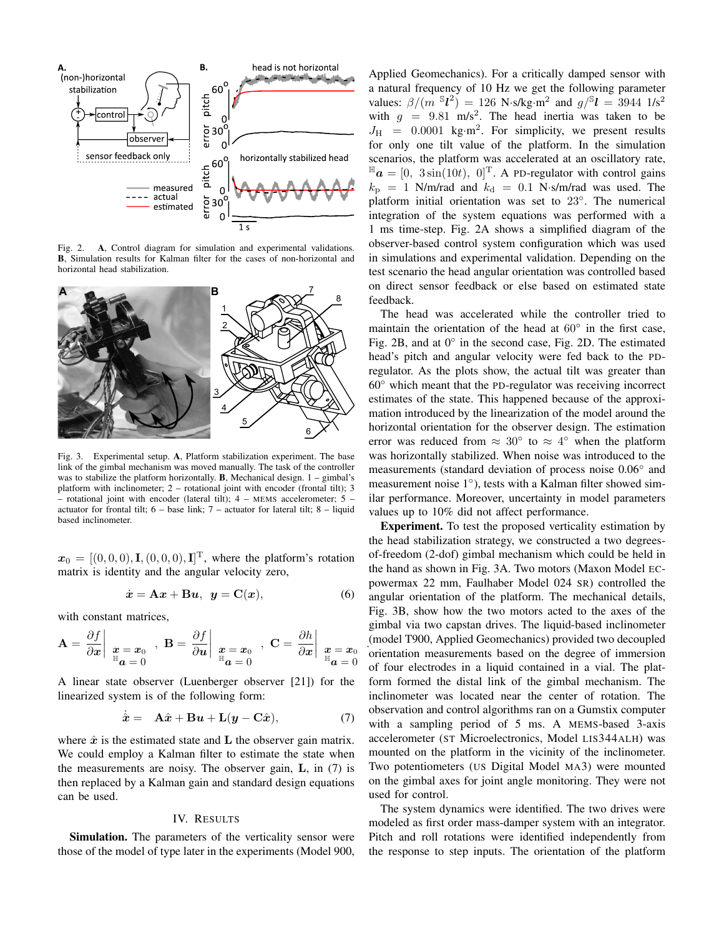

Fig. 2. A, Control diagram for simulation and experimental validations. B, Simulation results for Kalman filter for the cases of non-horizontal and horizontal head stabilization.



Experimental setup. A, Platform stabilization experiment. The base Fig.  $3$ . link of the gimbal mechanism was moved manually. The task of the controller was to stabilize the platform horizontally. **B**, Mechanical design.  $1 - \text{gimbal's}$ platform with inclinometer; 2 - rotational joint with encoder (frontal tilt); 3 - rotational joint with encoder (lateral tilt);  $4 - \text{MEMS}$  accelerometer;  $5$ actuator for frontal tilt;  $6 - \text{base link}$ ;  $7 - \text{actuator for lateral tilt}$ ;  $8 - \text{liquid}$ based inclinometer.

 $\mathbf{x}_0 = [(0, 0, 0), \mathbf{I}, (0, 0, 0), \mathbf{I}]^T$ , where the platform's rotation matrix is identity and the angular velocity zero,

$$
\dot{x} = Ax + Bu, \ \ y = C(x), \tag{6}
$$

with constant matrices,

$$
\mathbf{A} = \frac{\partial f}{\partial \mathbf{x}} \bigg|_{\begin{array}{l} \boldsymbol{x} = \boldsymbol{x}_0 \\ \mathbf{u} = 0 \end{array}}, \ \mathbf{B} = \frac{\partial f}{\partial \mathbf{u}} \bigg|_{\begin{array}{l} \boldsymbol{x} = \boldsymbol{x}_0 \\ \mathbf{u} = 0 \end{array}}, \ \mathbf{C} = \frac{\partial h}{\partial \mathbf{x}} \bigg|_{\begin{array}{l} \boldsymbol{x} = \boldsymbol{x}_0 \\ \mathbf{u} = 0 \end{array}}
$$

A linear state observer (Luenberger observer [21]) for the linearized system is of the following form:

$$
\dot{\hat{x}} = A\hat{x} + B\mathbf{u} + \mathbf{L}(\mathbf{y} - \mathbf{C}\hat{x}), \tag{7}
$$

where  $\hat{x}$  is the estimated state and L the observer gain matrix. We could employ a Kalman filter to estimate the state when the measurements are noisy. The observer gain,  $\bf{L}$ , in (7) is then replaced by a Kalman gain and standard design equations can be used.

#### **IV. RESULTS**

Simulation. The parameters of the verticality sensor were those of the model of type later in the experiments (Model 900,

Applied Geomechanics). For a critically damped sensor with a natural frequency of 10 Hz we get the following parameter values:  $\beta/(m^{8}l^{2}) = 126 \text{ N} \cdot \text{s/kg} \cdot \text{m}^{2}$  and  $g/\text{s}l = 3944 \frac{1}{s^{2}}$ with  $g = 9.81$  m/s<sup>2</sup>. The head inertia was taken to be  $J_{\rm H}$  = 0.0001 kg·m<sup>2</sup>. For simplicity, we present results for only one tilt value of the platform. In the simulation scenarios, the platform was accelerated at an oscillatory rate,  $\mathbb{H}_{\mathbf{a}} = [0, 3\sin(10t), 0]^{\text{T}}$ . A PD-regulator with control gains  $k_{\text{p}} = 1$  N/m/rad and  $k_{\text{d}} = 0.1$  N·s/m/rad was used. The platform initial orientation was set to 23°. The numerical integration of the system equations was performed with a 1 ms time-step. Fig. 2A shows a simplified diagram of the observer-based control system configuration which was used in simulations and experimental validation. Depending on the test scenario the head angular orientation was controlled based on direct sensor feedback or else based on estimated state feedback.

The head was accelerated while the controller tried to maintain the orientation of the head at  $60^{\circ}$  in the first case, Fig. 2B, and at  $0^{\circ}$  in the second case, Fig. 2D. The estimated head's pitch and angular velocity were fed back to the PDregulator. As the plots show, the actual tilt was greater than  $60^{\circ}$  which meant that the PD-regulator was receiving incorrect estimates of the state. This happened because of the approximation introduced by the linearization of the model around the horizontal orientation for the observer design. The estimation error was reduced from  $\approx 30^{\circ}$  to  $\approx 4^{\circ}$  when the platform was horizontally stabilized. When noise was introduced to the measurements (standard deviation of process noise 0.06° and measurement noise  $1^{\circ}$ ), tests with a Kalman filter showed similar performance. Moreover, uncertainty in model parameters values up to 10% did not affect performance.

**Experiment.** To test the proposed verticality estimation by the head stabilization strategy, we constructed a two degreesof-freedom (2-dof) gimbal mechanism which could be held in the hand as shown in Fig. 3A. Two motors (Maxon Model ECpowermax 22 mm, Faulhaber Model 024 SR) controlled the angular orientation of the platform. The mechanical details, Fig. 3B, show how the two motors acted to the axes of the gimbal via two capstan drives. The liquid-based inclinometer (model T900, Applied Geomechanics) provided two decoupled orientation measurements based on the degree of immersion of four electrodes in a liquid contained in a vial. The platform formed the distal link of the gimbal mechanism. The inclinometer was located near the center of rotation. The observation and control algorithms ran on a Gumstix computer with a sampling period of 5 ms. A MEMS-based 3-axis accelerometer (ST Microelectronics, Model LIS344ALH) was mounted on the platform in the vicinity of the inclinometer. Two potentiometers (US Digital Model MA3) were mounted on the gimbal axes for joint angle monitoring. They were not used for control.

The system dynamics were identified. The two drives were modeled as first order mass-damper system with an integrator. Pitch and roll rotations were identified independently from the response to step inputs. The orientation of the platform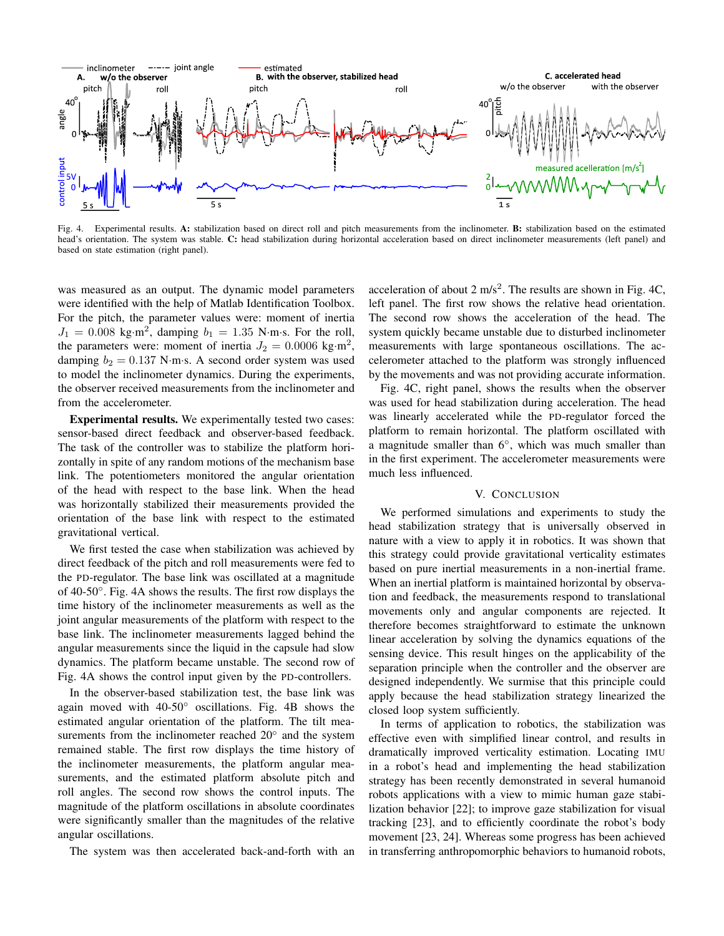

Experimental results. A: stabilization based on direct roll and pitch measurements from the inclinometer. B: stabilization based on the estimated Fig.  $4$ . head's orientation. The system was stable. C: head stabilization during horizontal acceleration based on direct inclinometer measurements (left panel) and based on state estimation (right panel).

was measured as an output. The dynamic model parameters were identified with the help of Matlab Identification Toolbox. For the pitch, the parameter values were: moment of inertia  $J_1 = 0.008$  kg·m<sup>2</sup>, damping  $b_1 = 1.35$  N·m·s. For the roll, the parameters were: moment of inertia  $J_2 = 0.0006$  kg·m<sup>2</sup>, damping  $b_2 = 0.137$  N·m·s. A second order system was used to model the inclinometer dynamics. During the experiments, the observer received measurements from the inclinometer and from the accelerometer.

**Experimental results.** We experimentally tested two cases: sensor-based direct feedback and observer-based feedback. The task of the controller was to stabilize the platform horizontally in spite of any random motions of the mechanism base link. The potentiometers monitored the angular orientation of the head with respect to the base link. When the head was horizontally stabilized their measurements provided the orientation of the base link with respect to the estimated gravitational vertical.

We first tested the case when stabilization was achieved by direct feedback of the pitch and roll measurements were fed to the PD-regulator. The base link was oscillated at a magnitude of  $40-50^\circ$ . Fig. 4A shows the results. The first row displays the time history of the inclinometer measurements as well as the joint angular measurements of the platform with respect to the base link. The inclinometer measurements lagged behind the angular measurements since the liquid in the capsule had slow dynamics. The platform became unstable. The second row of Fig. 4A shows the control input given by the PD-controllers.

In the observer-based stabilization test, the base link was again moved with  $40-50^{\circ}$  oscillations. Fig. 4B shows the estimated angular orientation of the platform. The tilt measurements from the inclinometer reached  $20^{\circ}$  and the system remained stable. The first row displays the time history of the inclinometer measurements, the platform angular measurements, and the estimated platform absolute pitch and roll angles. The second row shows the control inputs. The magnitude of the platform oscillations in absolute coordinates were significantly smaller than the magnitudes of the relative angular oscillations.

The system was then accelerated back-and-forth with an

acceleration of about  $2 \text{ m/s}^2$ . The results are shown in Fig. 4C, left panel. The first row shows the relative head orientation. The second row shows the acceleration of the head. The system quickly became unstable due to disturbed inclinometer measurements with large spontaneous oscillations. The accelerometer attached to the platform was strongly influenced by the movements and was not providing accurate information.

Fig. 4C, right panel, shows the results when the observer was used for head stabilization during acceleration. The head was linearly accelerated while the PD-regulator forced the platform to remain horizontal. The platform oscillated with a magnitude smaller than  $6^\circ$ , which was much smaller than in the first experiment. The accelerometer measurements were much less influenced.

## V. CONCLUSION

We performed simulations and experiments to study the head stabilization strategy that is universally observed in nature with a view to apply it in robotics. It was shown that this strategy could provide gravitational verticality estimates based on pure inertial measurements in a non-inertial frame. When an inertial platform is maintained horizontal by observation and feedback, the measurements respond to translational movements only and angular components are rejected. It therefore becomes straightforward to estimate the unknown linear acceleration by solving the dynamics equations of the sensing device. This result hinges on the applicability of the separation principle when the controller and the observer are designed independently. We surmise that this principle could apply because the head stabilization strategy linearized the closed loop system sufficiently.

In terms of application to robotics, the stabilization was effective even with simplified linear control, and results in dramatically improved verticality estimation. Locating IMU in a robot's head and implementing the head stabilization strategy has been recently demonstrated in several humanoid robots applications with a view to mimic human gaze stabilization behavior [22]; to improve gaze stabilization for visual tracking [23], and to efficiently coordinate the robot's body movement [23, 24]. Whereas some progress has been achieved in transferring anthropomorphic behaviors to humanoid robots,